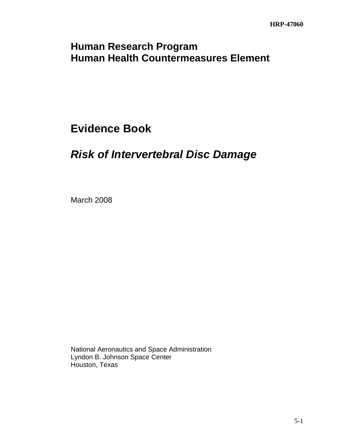# **Human Research Program Human Health Countermeasures Element**

**Evidence Book** 

# *Risk of Intervertebral Disc Damage*

March 2008

National Aeronautics and Space Administration Lyndon B. Johnson Space Center Houston, Texas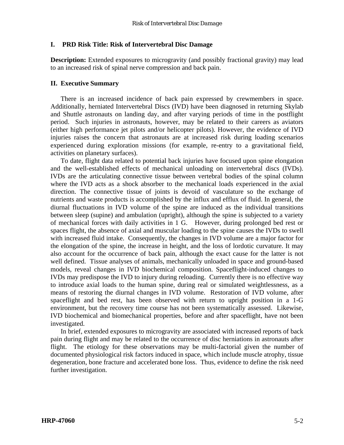# **I. PRD Risk Title: Risk of Intervertebral Disc Damage**

**Description:** Extended exposures to microgravity (and possibly fractional gravity) may lead to an increased risk of spinal nerve compression and back pain.

### **II. Executive Summary**

 There is an increased incidence of back pain expressed by crewmembers in space. Additionally, herniated Intervertebral Discs (IVD) have been diagnosed in returning Skylab and Shuttle astronauts on landing day, and after varying periods of time in the postflight period. Such injuries in astronauts, however, may be related to their careers as aviators (either high performance jet pilots and/or helicopter pilots). However, the evidence of IVD injuries raises the concern that astronauts are at increased risk during loading scenarios experienced during exploration missions (for example, re-entry to a gravitational field, activities on planetary surfaces).

 To date, flight data related to potential back injuries have focused upon spine elongation and the well-established effects of mechanical unloading on intervertebral discs (IVDs). IVDs are the articulating connective tissue between vertebral bodies of the spinal column where the IVD acts as a shock absorber to the mechanical loads experienced in the axial direction. The connective tissue of joints is devoid of vasculature so the exchange of nutrients and waste products is accomplished by the influx and efflux of fluid. In general, the diurnal fluctuations in IVD volume of the spine are induced as the individual transitions between sleep (supine) and ambulation (upright), although the spine is subjected to a variety of mechanical forces with daily activities in 1 G. However, during prolonged bed rest or spaces flight, the absence of axial and muscular loading to the spine causes the IVDs to swell with increased fluid intake. Consequently, the changes in IVD volume are a major factor for the elongation of the spine, the increase in height, and the loss of lordotic curvature. It may also account for the occurrence of back pain, although the exact cause for the latter is not well defined. Tissue analyses of animals, mechanically unloaded in space and ground-based models, reveal changes in IVD biochemical composition. Spaceflight-induced changes to IVDs may predispose the IVD to injury during reloading. Currently there is no effective way to introduce axial loads to the human spine, during real or simulated weightlessness, as a means of restoring the diurnal changes in IVD volume. Restoration of IVD volume, after spaceflight and bed rest, has been observed with return to upright position in a 1-G environment, but the recovery time course has not been systematically assessed. Likewise, IVD biochemical and biomechanical properties, before and after spaceflight, have not been investigated.

 In brief, extended exposures to microgravity are associated with increased reports of back pain during flight and may be related to the occurrence of disc herniations in astronauts after flight. The etiology for these observations may be multi-factorial given the number of documented physiological risk factors induced in space, which include muscle atrophy, tissue degeneration, bone fracture and accelerated bone loss. Thus, evidence to define the risk need further investigation.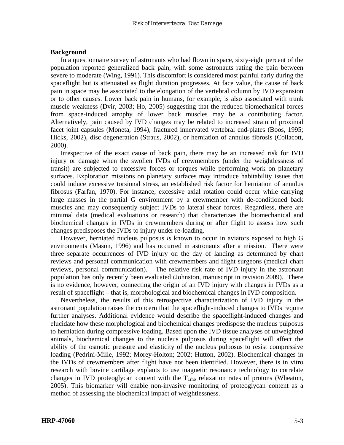#### **Background**

 In a questionnaire survey of astronauts who had flown in space, sixty-eight percent of the population reported generalized back pain, with some astronauts rating the pain between severe to moderate (Wing, 1991). This discomfort is considered most painful early during the spaceflight but is attenuated as flight duration progresses. At face value, the cause of back pain in space may be associated to the elongation of the vertebral column by IVD expansion or to other causes. Lower back pain in humans, for example, is also associated with trunk muscle weakness (Dvir, 2003; Ho, 2005) suggesting that the reduced biomechanical forces from space-induced atrophy of lower back muscles may be a contributing factor. Alternatively, pain caused by IVD changes may be related to increased strain of proximal facet joint capsules (Moneta, 1994), fractured innervated vertebral end-plates (Boos, 1995; Hicks, 2002), disc degeneration (Straus, 2002), or herniation of annulus fibrosis (Collacott, 2000).

 Irrespective of the exact cause of back pain, there may be an increased risk for IVD injury or damage when the swollen IVDs of crewmembers (under the weightlessness of transit) are subjected to excessive forces or torques while performing work on planetary surfaces. Exploration missions on planetary surfaces may introduce habitability issues that could induce excessive torsional stress, an established risk factor for herniation of annulus fibrosus (Farfan, 1970). For instance, excessive axial rotation could occur while carrying large masses in the partial G environment by a crewmember with de-conditioned back muscles and may consequently subject IVDs to lateral shear forces. Regardless, there are minimal data (medical evaluations or research) that characterizes the biomechanical and biochemical changes in IVDs in crewmembers during or after flight to assess how such changes predisposes the IVDs to injury under re-loading.

 However, herniated nucleus pulposus *is* known to occur in aviators exposed to high G environments (Mason, 1996) and has occurred in astronauts after a mission. There were three separate occurrences of IVD injury on the day of landing as determined by chart reviews and personal communication with crewmembers and flight surgeons (medical chart reviews, personal communication). The relative risk rate of IVD injury in the astronaut population has only recently been evaluated (Johnston, manuscript in revision 2009). There is no evidence, however, connecting the origin of an IVD injury with changes in IVDs as a result of spaceflight – that is, morphological and biochemical changes in IVD composition.

 Nevertheless, the results of this retrospective characterization of IVD injury in the astronaut population raises the concern that the spaceflight-induced changes to IVDs require further analyses. Additional evidence would describe the spaceflight-induced changes and elucidate how these morphological and biochemical changes predispose the nucleus pulposus to herniation during compressive loading. Based upon the IVD tissue analyses of unweighted animals, biochemical changes to the nucleus pulposus during spaceflight will affect the ability of the osmotic pressure and elasticity of the nucleus pulposus to resist compressive loading (Pedrini-Mille, 1992; Morey-Holton; 2002; Hutton, 2002). Biochemical changes in the IVDs of crewmembers after flight have not been identified. However, there is in vitro research with bovine cartilage explants to use magnetic resonance technology to correlate changes in IVD proteoglycan content with the  $T_{1rho}$  relaxation rates of protons (Wheaton, 2005). This biomarker will enable non-invasive monitoring of proteoglycan content as a method of assessing the biochemical impact of weightlessness.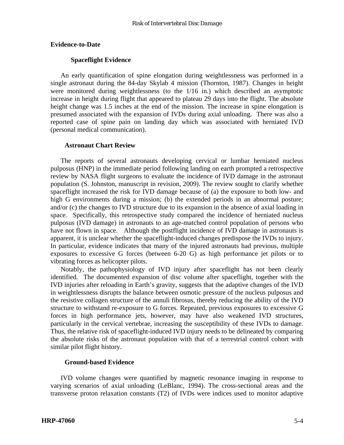#### **Evidence-to-Date**

#### **Spaceflight Evidence**

 An early quantification of spine elongation during weightlessness was performed in a single astronaut during the 84-day Skylab 4 mission (Thornton, 1987). Changes in height were monitored during weightlessness (to the 1/16 in.) which described an asymptotic increase in height during flight that appeared to plateau 29 days into the flight. The absolute height change was 1.5 inches at the end of the mission. The increase in spine elongation is presumed associated with the expansion of IVDs during axial unloading. There was also a reported case of spine pain on landing day which was associated with herniated IVD (personal medical communication).

#### **Astronaut Chart Review**

 The reports of several astronauts developing cervical or lumbar herniated nucleus pulposus (HNP) in the immediate period following landing on earth prompted a retrospective review by NASA flight surgeons to evaluate the incidence of IVD damage in the astronaut population (S. Johnston, manuscript in revision, 2009). The review sought to clarify whether spaceflight increased the risk for IVD damage because of (a) the exposure to both low- and high G environments during a mission; (b) the extended periods in an abnormal posture; and/or (c) the changes to IVD structure due to its expansion in the absence of axial loading in space. Specifically, this retrospective study compared the incidence of herniated nucleus pulposus (IVD damage) in astronauts to an age-matched control population of persons who have not flown in space. Although the postflight incidence of IVD damage in astronauts is apparent, it is unclear whether the spaceflight-induced changes predispose the IVDs to injury. In particular, evidence indicates that many of the injured astronauts had previous, multiple exposures to excessive G forces (between 6-20 G) as high performance jet pilots or to vibrating forces as helicopter pilots.

 Notably, the pathophysiology of IVD injury after spaceflight has not been clearly identified. The documented expansion of disc volume after spaceflight, together with the IVD injuries after reloading in Earth's gravity, suggests that the adaptive changes of the IVD in weightlessness disrupts the balance between osmotic pressure of the nucleus pulposus and the resistive collagen structure of the annuli fibrosus, thereby reducing the ability of the IVD structure to withstand re-exposure to G forces. Repeated, previous exposures to excessive G forces in high performance jets, however, may have also weakened IVD structures, particularly in the cervical vertebrae, increasing the susceptibility of these IVDs to damage. Thus, the relative risk of spaceflight-induced IVD injury needs to be delineated by comparing the absolute risks of the astronaut population with that of a terrestrial control cohort with similar pilot flight history.

#### **Ground-based Evidence**

 IVD volume changes were quantified by magnetic resonance imaging in response to varying scenarios of axial unloading (LeBlanc, 1994). The cross-sectional areas and the transverse proton relaxation constants (T2) of IVDs were indices used to monitor adaptive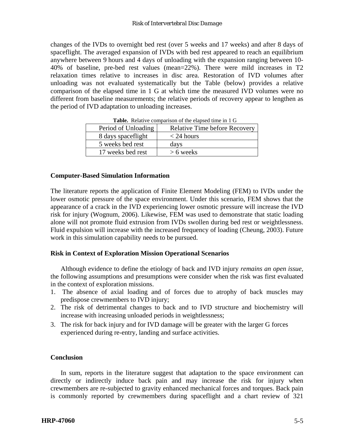changes of the IVDs to overnight bed rest (over 5 weeks and 17 weeks) and after 8 days of spaceflight. The averaged expansion of IVDs with bed rest appeared to reach an equilibrium anywhere between 9 hours and 4 days of unloading with the expansion ranging between 10- 40% of baseline, pre-bed rest values (mean=22%). There were mild increases in T2 relaxation times relative to increases in disc area. Restoration of IVD volumes after unloading was not evaluated systematically but the Table (below) provides a relative comparison of the elapsed time in 1 G at which time the measured IVD volumes were no different from baseline measurements; the relative periods of recovery appear to lengthen as the period of IVD adaptation to unloading increases.

| <b>Table.</b> Kelative comparison of the clapsed time in T O |                                      |
|--------------------------------------------------------------|--------------------------------------|
| Period of Unloading                                          | <b>Relative Time before Recovery</b> |
| 8 days spaceflight                                           | $<$ 24 hours                         |
| 5 weeks bed rest                                             | days                                 |
| 17 weeks bed rest                                            | $> 6$ weeks                          |

**Table.** Relative comparison of the elapsed time in 1 G

#### **Computer-Based Simulation Information**

The literature reports the application of Finite Element Modeling (FEM) to IVDs under the lower osmotic pressure of the space environment. Under this scenario, FEM shows that the appearance of a crack in the IVD experiencing lower osmotic pressure will increase the IVD risk for injury (Wognum, 2006). Likewise, FEM was used to demonstrate that static loading alone will not promote fluid extrusion from IVDs swollen during bed rest or weightlessness. Fluid expulsion will increase with the increased frequency of loading (Cheung, 2003). Future work in this simulation capability needs to be pursued.

#### **Risk in Context of Exploration Mission Operational Scenarios**

 Although evidence to define the etiology of back and IVD injury *remains an open issue*, the following assumptions and presumptions were consider when the risk was first evaluated in the context of exploration missions.

- 1. The absence of axial loading and of forces due to atrophy of back muscles may predispose crewmembers to IVD injury;
- 2. The risk of detrimental changes to back and to IVD structure and biochemistry will increase with increasing unloaded periods in weightlessness;
- 3. The risk for back injury and for IVD damage will be greater with the larger G forces experienced during re-entry, landing and surface activities.

#### **Conclusion**

 In sum, reports in the literature suggest that adaptation to the space environment can directly or indirectly induce back pain and may increase the risk for injury when crewmembers are re-subjected to gravity enhanced mechanical forces and torques. Back pain is commonly reported by crewmembers during spaceflight and a chart review of 321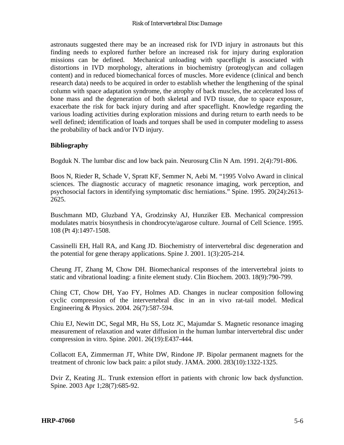astronauts suggested there may be an increased risk for IVD injury in astronauts but this finding needs to explored further before an increased risk for injury during exploration missions can be defined. Mechanical unloading with spaceflight is associated with distortions in IVD morphology, alterations in biochemistry (proteoglycan and collagen content) and in reduced biomechanical forces of muscles. More evidence (clinical and bench research data) needs to be acquired in order to establish whether the lengthening of the spinal column with space adaptation syndrome, the atrophy of back muscles, the accelerated loss of bone mass and the degeneration of both skeletal and IVD tissue, due to space exposure, exacerbate the risk for back injury during and after spaceflight. Knowledge regarding the various loading activities during exploration missions and during return to earth needs to be well defined; identification of loads and torques shall be used in computer modeling to assess the probability of back and/or IVD injury.

# **Bibliography**

Bogduk N. The lumbar disc and low back pain. Neurosurg Clin N Am. 1991. 2(4):791-806.

Boos N, Rieder R, Schade V, Spratt KF, Semmer N, Aebi M. "1995 Volvo Award in clinical sciences. The diagnostic accuracy of magnetic resonance imaging, work perception, and psychosocial factors in identifying symptomatic disc herniations." Spine. 1995. 20(24):2613- 2625.

Buschmann MD, Gluzband YA, Grodzinsky AJ, Hunziker EB. Mechanical compression modulates matrix biosynthesis in chondrocyte/agarose culture. Journal of Cell Science. 1995. 108 (Pt 4):1497-1508.

Cassinelli EH, Hall RA, and Kang JD. Biochemistry of intervertebral disc degeneration and the potential for gene therapy applications. Spine J. 2001. 1(3):205-214.

Cheung JT, Zhang M, Chow DH. Biomechanical responses of the intervertebral joints to static and vibrational loading: a finite element study. Clin Biochem. 2003. 18(9):790-799.

Ching CT, Chow DH, Yao FY, Holmes AD. Changes in nuclear composition following cyclic compression of the intervertebral disc in an in vivo rat-tail model. Medical Engineering & Physics. 2004. 26(7):587-594.

Chiu EJ, Newitt DC, Segal MR, Hu SS, Lotz JC, Majumdar S. Magnetic resonance imaging measurement of relaxation and water diffusion in the human lumbar intervertebral disc under compression in vitro. Spine. 2001. 26(19):E437-444.

Collacott EA, Zimmerman JT, White DW, Rindone JP. Bipolar permanent magnets for the treatment of chronic low back pain: a pilot study. JAMA. 2000. 283(10):1322-1325.

Dvir Z, Keating JL. Trunk extension effort in patients with chronic low back dysfunction. Spine. 2003 Apr 1;28(7):685-92.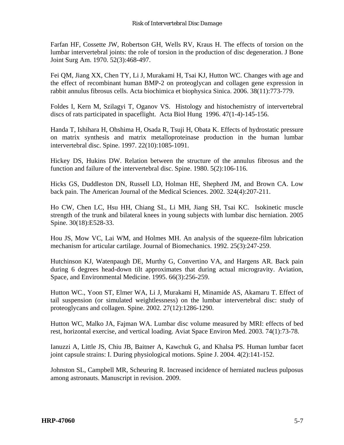Farfan HF, Cossette JW, Robertson GH, Wells RV, Kraus H. The effects of torsion on the lumbar intervertebral joints: the role of torsion in the production of disc degeneration. J Bone Joint Surg Am. 1970. 52(3):468-497.

Fei QM, Jiang XX, Chen TY, Li J, Murakami H, Tsai KJ, Hutton WC. Changes with age and the effect of recombinant human BMP-2 on proteoglycan and collagen gene expression in rabbit annulus fibrosus cells. Acta biochimica et biophysica Sinica. 2006. 38(11):773-779.

Foldes I, Kern M, Szilagyi T, Oganov VS. Histology and histochemistry of intervertebral discs of rats participated in spaceflight. Acta Biol Hung 1996. 47(1-4)-145-156.

Handa T, Ishihara H, Ohshima H, Osada R, Tsuji H, Obata K. Effects of hydrostatic pressure on matrix synthesis and matrix metalloproteinase production in the human lumbar intervertebral disc. Spine. 1997. 22(10):1085-1091.

Hickey DS, Hukins DW. Relation between the structure of the annulus fibrosus and the function and failure of the intervertebral disc. Spine. 1980. 5(2):106-116.

Hicks GS, Duddleston DN, Russell LD, Holman HE, Shepherd JM, and Brown CA. Low back pain. The American Journal of the Medical Sciences. 2002. 324(4):207-211.

Ho CW, Chen LC, Hsu HH, Chiang SL, Li MH, Jiang SH, Tsai KC. Isokinetic muscle strength of the trunk and bilateral knees in young subjects with lumbar disc herniation. 2005 Spine. 30(18):E528-33.

Hou JS, Mow VC, Lai WM, and Holmes MH. An analysis of the squeeze-film lubrication mechanism for articular cartilage. Journal of Biomechanics. 1992. 25(3):247-259.

Hutchinson KJ, Watenpaugh DE, Murthy G, Convertino VA, and Hargens AR. Back pain during 6 degrees head-down tilt approximates that during actual microgravity. Aviation, Space, and Environmental Medicine. 1995. 66(3):256-259.

Hutton WC., Yoon ST, Elmer WA, Li J, Murakami H, Minamide AS, Akamaru T. Effect of tail suspension (or simulated weightlessness) on the lumbar intervertebral disc: study of proteoglycans and collagen. Spine. 2002. 27(12):1286-1290.

Hutton WC, Malko JA, Fajman WA. Lumbar disc volume measured by MRI: effects of bed rest, horizontal exercise, and vertical loading. Aviat Space Environ Med. 2003. 74(1):73-78.

Ianuzzi A, Little JS, Chiu JB, Baitner A, Kawchuk G, and Khalsa PS. Human lumbar facet joint capsule strains: I. During physiological motions. Spine J. 2004. 4(2):141-152.

Johnston SL, Campbell MR, Scheuring R. Increased incidence of herniated nucleus pulposus among astronauts. Manuscript in revision. 2009.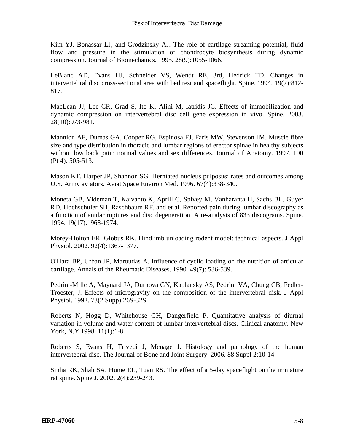Kim YJ, Bonassar LJ, and Grodzinsky AJ. The role of cartilage streaming potential, fluid flow and pressure in the stimulation of chondrocyte biosynthesis during dynamic compression. Journal of Biomechanics. 1995. 28(9):1055-1066.

LeBlanc AD, Evans HJ, Schneider VS, Wendt RE, 3rd, Hedrick TD. Changes in intervertebral disc cross-sectional area with bed rest and spaceflight. Spine. 1994. 19(7):812- 817.

MacLean JJ, Lee CR, Grad S, Ito K, Alini M, Iatridis JC. Effects of immobilization and dynamic compression on intervertebral disc cell gene expression in vivo. Spine. 2003. 28(10):973-981.

Mannion AF, Dumas GA, Cooper RG, Espinosa FJ, Faris MW, Stevenson JM. Muscle fibre size and type distribution in thoracic and lumbar regions of erector spinae in healthy subjects without low back pain: normal values and sex differences. Journal of Anatomy. 1997. 190 (Pt 4): 505-513.

Mason KT, Harper JP, Shannon SG. Herniated nucleus pulposus: rates and outcomes among U.S. Army aviators. Aviat Space Environ Med. 1996. 67(4):338-340.

Moneta GB, Videman T, Kaivanto K, Aprill C, Spivey M, Vanharanta H, Sachs BL, Guyer RD, Hochschuler SH, Raschbaum RF, and et al. Reported pain during lumbar discography as a function of anular ruptures and disc degeneration. A re-analysis of 833 discograms. Spine. 1994. 19(17):1968-1974.

Morey-Holton ER, Globus RK. Hindlimb unloading rodent model: technical aspects. J Appl Physiol. 2002. 92(4):1367-1377.

O'Hara BP, Urban JP, Maroudas A. Influence of cyclic loading on the nutrition of articular cartilage. Annals of the Rheumatic Diseases. 1990. 49(7): 536-539.

Pedrini-Mille A, Maynard JA, Durnova GN, Kaplansky AS, Pedrini VA, Chung CB, Fedler-Troester, J. Effects of microgravity on the composition of the intervertebral disk. J Appl Physiol. 1992. 73(2 Supp):26S-32S.

Roberts N, Hogg D, Whitehouse GH, Dangerfield P. Quantitative analysis of diurnal variation in volume and water content of lumbar intervertebral discs. Clinical anatomy. New York, N.Y.1998. 11(1):1-8.

Roberts S, Evans H, Trivedi J, Menage J. Histology and pathology of the human intervertebral disc. The Journal of Bone and Joint Surgery. 2006. 88 Suppl 2:10-14.

Sinha RK, Shah SA, Hume EL, Tuan RS. The effect of a 5-day spaceflight on the immature rat spine. Spine J. 2002. 2(4):239-243.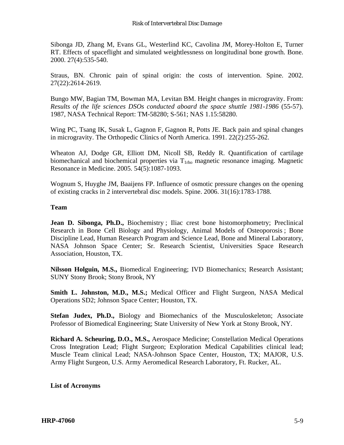Sibonga JD, Zhang M, Evans GL, Westerlind KC, Cavolina JM, Morey-Holton E, Turner RT. Effects of spaceflight and simulated weightlessness on longitudinal bone growth. Bone. 2000. 27(4):535-540.

Straus, BN. Chronic pain of spinal origin: the costs of intervention. Spine. 2002. 27(22):2614-2619.

Bungo MW, Bagian TM, Bowman MA, Levitan BM. Height changes in microgravity. From: *Results of the life sciences DSOs conducted aboard the space shuttle 1981-1986* (55-57). 1987, NASA Technical Report: TM-58280; S-561; NAS 1.15:58280.

Wing PC, Tsang IK, Susak L, Gagnon F, Gagnon R, Potts JE. Back pain and spinal changes in microgravity. The Orthopedic Clinics of North America. 1991. 22(2):255-262.

Wheaton AJ, Dodge GR, Elliott DM, Nicoll SB, Reddy R. Quantification of cartilage biomechanical and biochemical properties via  $T_{1rho}$  magnetic resonance imaging. Magnetic Resonance in Medicine. 2005. 54(5):1087-1093.

Wognum S, Huyghe JM, Baaijens FP. Influence of osmotic pressure changes on the opening of existing cracks in 2 intervertebral disc models. Spine. 2006. 31(16):1783-1788.

# **Team**

Jean D. Sibonga, Ph.D., Biochemistry; Iliac crest bone histomorphometry; Preclinical Research in Bone Cell Biology and Physiology, Animal Models of Osteoporosis ; Bone Discipline Lead, Human Research Program and Science Lead, Bone and Mineral Laboratory, NASA Johnson Space Center; Sr. Research Scientist, Universities Space Research Association, Houston, TX.

**Nilsson Holguin, M.S.,** Biomedical Engineering; IVD Biomechanics; Research Assistant; SUNY Stony Brook; Stony Brook, NY

Smith L. Johnston, M.D., M.S.; Medical Officer and Flight Surgeon, NASA Medical Operations SD2; Johnson Space Center; Houston, TX.

**Stefan Judex, Ph.D.,** Biology and Biomechanics of the Musculoskeleton; Associate Professor of Biomedical Engineering; State University of New York at Stony Brook, NY.

**Richard A. Scheuring, D.O., M.S.,** Aerospace Medicine; Constellation Medical Operations Cross Integration Lead; Flight Surgeon; Exploration Medical Capabilities clinical lead; Muscle Team clinical Lead; NASA-Johnson Space Center, Houston, TX; MAJOR, U.S. Army Flight Surgeon, U.S. Army Aeromedical Research Laboratory, Ft. Rucker, AL.

#### **List of Acronyms**